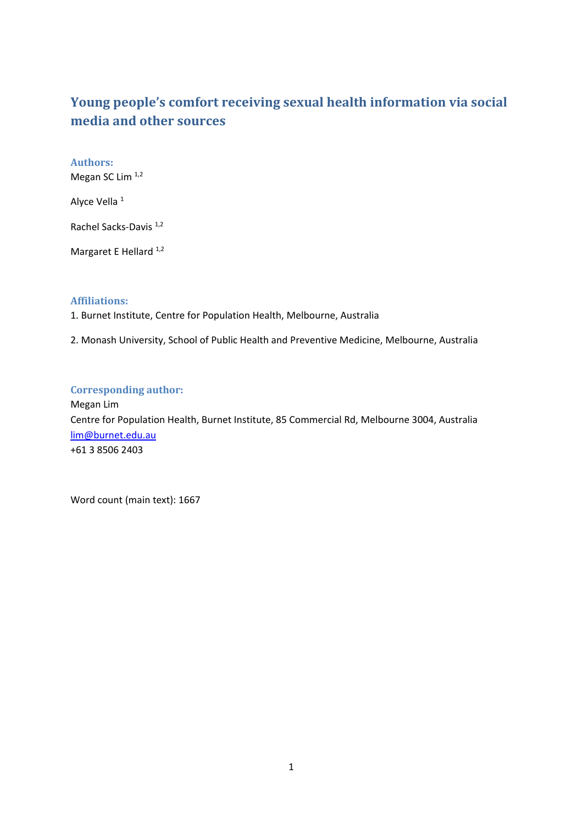# **Young people's comfort receiving sexual health information via social media and other sources**

Authors: Megan SC Lim 1,2 Alyce Vella<sup>1</sup> Rachel Sacks‐Davis 1,2 Margaret E Hellard<sup>1,2</sup>

### **Affiliations:**

1. Burnet Institute, Centre for Population Health, Melbourne, Australia

2. Monash University, School of Public Health and Preventive Medicine, Melbourne, Australia

#### **Corresponding author:**

Megan Lim Centre for Population Health, Burnet Institute, 85 Commercial Rd, Melbourne 3004, Australia lim@burnet.edu.au +61 3 8506 2403

Word count (main text): 1667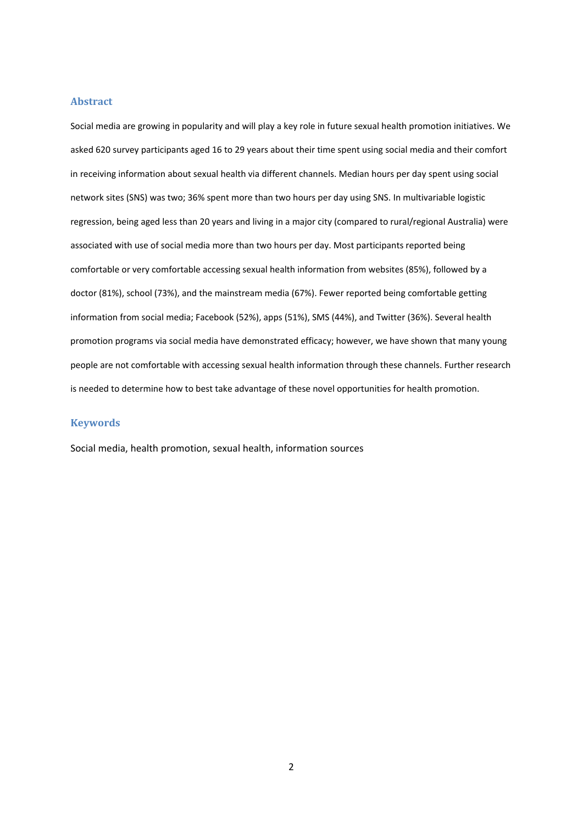#### **Abstract**

Social media are growing in popularity and will play a key role in future sexual health promotion initiatives. We asked 620 survey participants aged 16 to 29 years about their time spent using social media and their comfort in receiving information about sexual health via different channels. Median hours per day spent using social network sites (SNS) was two; 36% spent more than two hours per day using SNS. In multivariable logistic regression, being aged less than 20 years and living in a major city (compared to rural/regional Australia) were associated with use of social media more than two hours per day. Most participants reported being comfortable or very comfortable accessing sexual health information from websites (85%), followed by a doctor (81%), school (73%), and the mainstream media (67%). Fewer reported being comfortable getting information from social media; Facebook (52%), apps (51%), SMS (44%), and Twitter (36%). Several health promotion programs via social media have demonstrated efficacy; however, we have shown that many young people are not comfortable with accessing sexual health information through these channels. Further research is needed to determine how to best take advantage of these novel opportunities for health promotion.

#### **Keywords**

Social media, health promotion, sexual health, information sources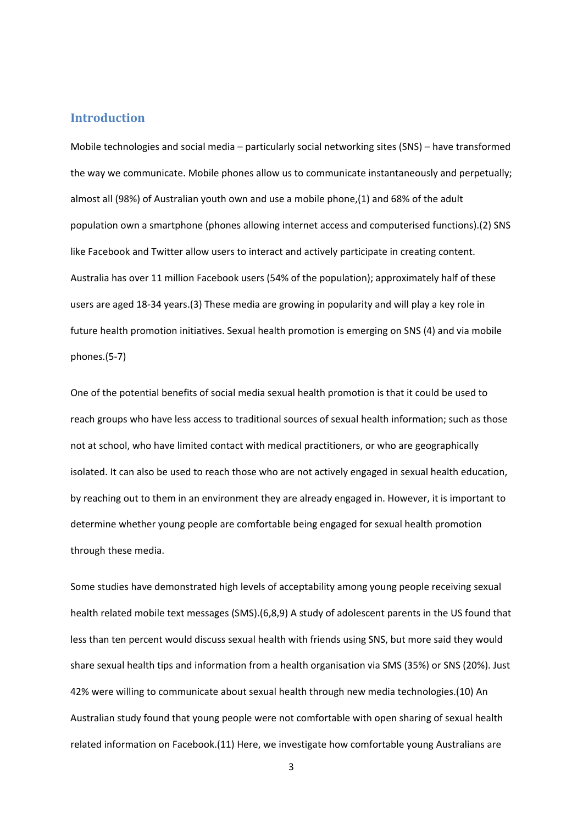#### **Introduction**

Mobile technologies and social media – particularly social networking sites (SNS) – have transformed the way we communicate. Mobile phones allow us to communicate instantaneously and perpetually; almost all (98%) of Australian youth own and use a mobile phone,(1) and 68% of the adult population own a smartphone (phones allowing internet access and computerised functions).(2) SNS like Facebook and Twitter allow users to interact and actively participate in creating content. Australia has over 11 million Facebook users (54% of the population); approximately half of these users are aged 18‐34 years.(3) These media are growing in popularity and will play a key role in future health promotion initiatives. Sexual health promotion is emerging on SNS (4) and via mobile phones.(5‐7)

One of the potential benefits of social media sexual health promotion is that it could be used to reach groups who have less access to traditional sources of sexual health information; such as those not at school, who have limited contact with medical practitioners, or who are geographically isolated. It can also be used to reach those who are not actively engaged in sexual health education, by reaching out to them in an environment they are already engaged in. However, it is important to determine whether young people are comfortable being engaged for sexual health promotion through these media.

Some studies have demonstrated high levels of acceptability among young people receiving sexual health related mobile text messages (SMS).(6,8,9) A study of adolescent parents in the US found that less than ten percent would discuss sexual health with friends using SNS, but more said they would share sexual health tips and information from a health organisation via SMS (35%) or SNS (20%). Just 42% were willing to communicate about sexual health through new media technologies.(10) An Australian study found that young people were not comfortable with open sharing of sexual health related information on Facebook.(11) Here, we investigate how comfortable young Australians are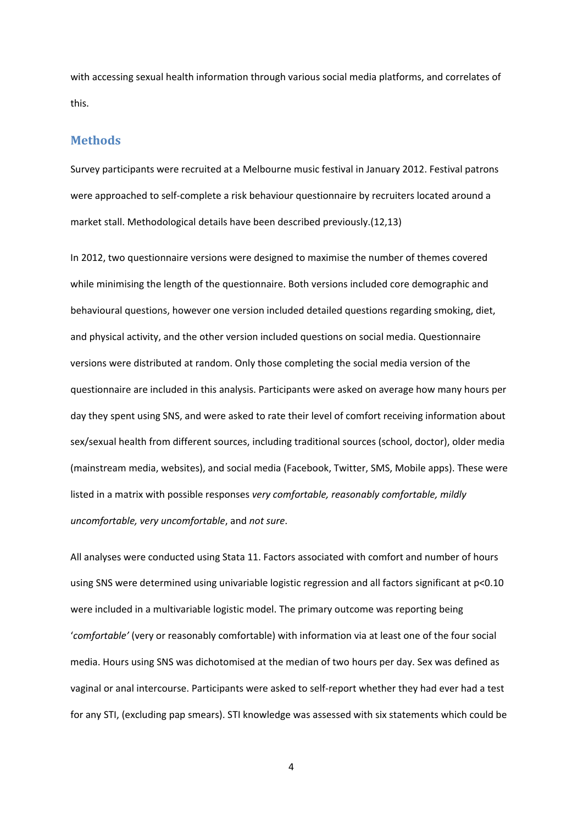with accessing sexual health information through various social media platforms, and correlates of this.

#### **Methods**

Survey participants were recruited at a Melbourne music festival in January 2012. Festival patrons were approached to self‐complete a risk behaviour questionnaire by recruiters located around a market stall. Methodological details have been described previously.(12,13)

In 2012, two questionnaire versions were designed to maximise the number of themes covered while minimising the length of the questionnaire. Both versions included core demographic and behavioural questions, however one version included detailed questions regarding smoking, diet, and physical activity, and the other version included questions on social media. Questionnaire versions were distributed at random. Only those completing the social media version of the questionnaire are included in this analysis. Participants were asked on average how many hours per day they spent using SNS, and were asked to rate their level of comfort receiving information about sex/sexual health from different sources, including traditional sources (school, doctor), older media (mainstream media, websites), and social media (Facebook, Twitter, SMS, Mobile apps). These were listed in a matrix with possible responses *very comfortable, reasonably comfortable, mildly uncomfortable, very uncomfortable*, and *not sure*.

All analyses were conducted using Stata 11. Factors associated with comfort and number of hours using SNS were determined using univariable logistic regression and all factors significant at p<0.10 were included in a multivariable logistic model. The primary outcome was reporting being '*comfortable'* (very or reasonably comfortable) with information via at least one of the four social media. Hours using SNS was dichotomised at the median of two hours per day. Sex was defined as vaginal or anal intercourse. Participants were asked to self‐report whether they had ever had a test for any STI, (excluding pap smears). STI knowledge was assessed with six statements which could be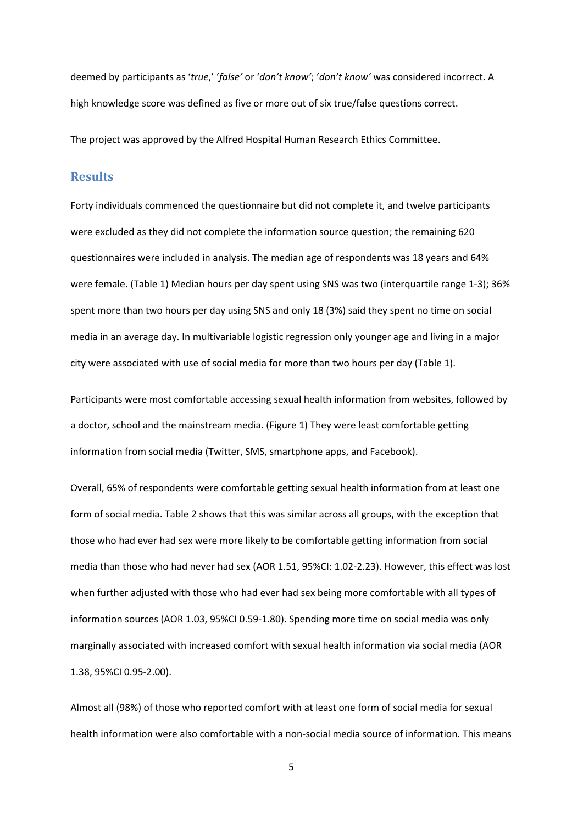deemed by participants as '*true*,' '*false'* or '*don't know'*; '*don't know'* was considered incorrect. A high knowledge score was defined as five or more out of six true/false questions correct.

The project was approved by the Alfred Hospital Human Research Ethics Committee.

## **Results**

Forty individuals commenced the questionnaire but did not complete it, and twelve participants were excluded as they did not complete the information source question; the remaining 620 questionnaires were included in analysis. The median age of respondents was 18 years and 64% were female. (Table 1) Median hours per day spent using SNS was two (interquartile range 1‐3); 36% spent more than two hours per day using SNS and only 18 (3%) said they spent no time on social media in an average day. In multivariable logistic regression only younger age and living in a major city were associated with use of social media for more than two hours per day (Table 1).

Participants were most comfortable accessing sexual health information from websites, followed by a doctor, school and the mainstream media. (Figure 1) They were least comfortable getting information from social media (Twitter, SMS, smartphone apps, and Facebook).

Overall, 65% of respondents were comfortable getting sexual health information from at least one form of social media. Table 2 shows that this was similar across all groups, with the exception that those who had ever had sex were more likely to be comfortable getting information from social media than those who had never had sex (AOR 1.51, 95%CI: 1.02‐2.23). However, this effect was lost when further adjusted with those who had ever had sex being more comfortable with all types of information sources (AOR 1.03, 95%CI 0.59‐1.80). Spending more time on social media was only marginally associated with increased comfort with sexual health information via social media (AOR 1.38, 95%CI 0.95‐2.00).

Almost all (98%) of those who reported comfort with at least one form of social media for sexual health information were also comfortable with a non-social media source of information. This means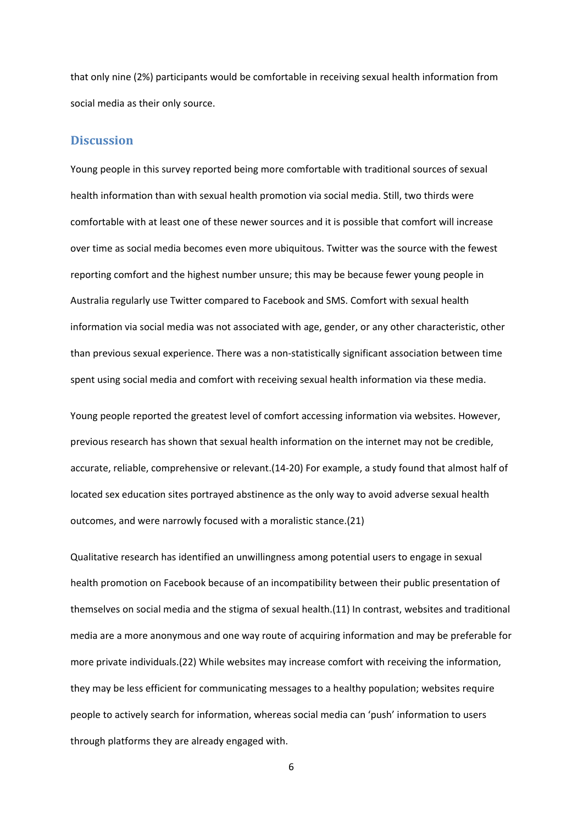that only nine (2%) participants would be comfortable in receiving sexual health information from social media as their only source.

#### **Discussion**

Young people in this survey reported being more comfortable with traditional sources of sexual health information than with sexual health promotion via social media. Still, two thirds were comfortable with at least one of these newer sources and it is possible that comfort will increase over time as social media becomes even more ubiquitous. Twitter was the source with the fewest reporting comfort and the highest number unsure; this may be because fewer young people in Australia regularly use Twitter compared to Facebook and SMS. Comfort with sexual health information via social media was not associated with age, gender, or any other characteristic, other than previous sexual experience. There was a non‐statistically significant association between time spent using social media and comfort with receiving sexual health information via these media.

Young people reported the greatest level of comfort accessing information via websites. However, previous research has shown that sexual health information on the internet may not be credible, accurate, reliable, comprehensive or relevant.(14‐20) For example, a study found that almost half of located sex education sites portrayed abstinence as the only way to avoid adverse sexual health outcomes, and were narrowly focused with a moralistic stance.(21)

Qualitative research has identified an unwillingness among potential users to engage in sexual health promotion on Facebook because of an incompatibility between their public presentation of themselves on social media and the stigma of sexual health.(11) In contrast, websites and traditional media are a more anonymous and one way route of acquiring information and may be preferable for more private individuals.(22) While websites may increase comfort with receiving the information, they may be less efficient for communicating messages to a healthy population; websites require people to actively search for information, whereas social media can 'push' information to users through platforms they are already engaged with.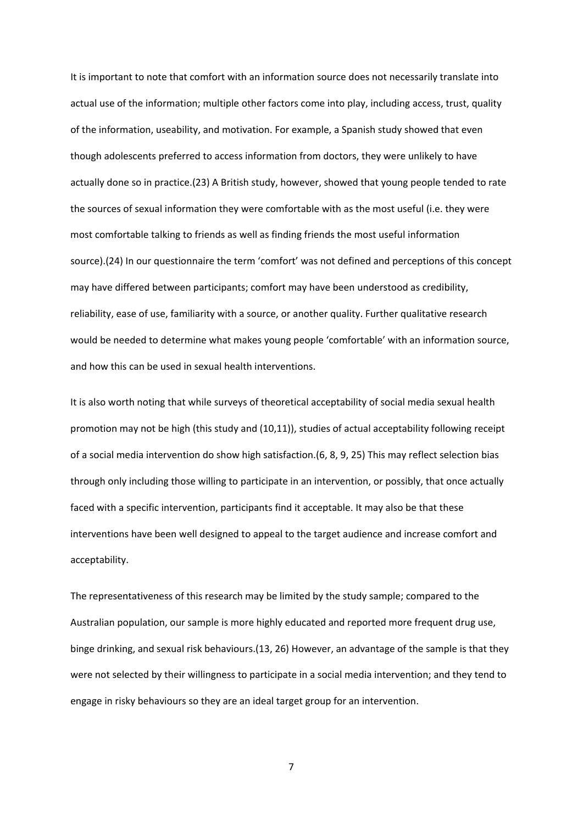It is important to note that comfort with an information source does not necessarily translate into actual use of the information; multiple other factors come into play, including access, trust, quality of the information, useability, and motivation. For example, a Spanish study showed that even though adolescents preferred to access information from doctors, they were unlikely to have actually done so in practice.(23) A British study, however, showed that young people tended to rate the sources of sexual information they were comfortable with as the most useful (i.e. they were most comfortable talking to friends as well as finding friends the most useful information source).(24) In our questionnaire the term 'comfort' was not defined and perceptions of this concept may have differed between participants; comfort may have been understood as credibility, reliability, ease of use, familiarity with a source, or another quality. Further qualitative research would be needed to determine what makes young people 'comfortable' with an information source, and how this can be used in sexual health interventions.

It is also worth noting that while surveys of theoretical acceptability of social media sexual health promotion may not be high (this study and (10,11)), studies of actual acceptability following receipt of a social media intervention do show high satisfaction.(6, 8, 9, 25) This may reflect selection bias through only including those willing to participate in an intervention, or possibly, that once actually faced with a specific intervention, participants find it acceptable. It may also be that these interventions have been well designed to appeal to the target audience and increase comfort and acceptability.

The representativeness of this research may be limited by the study sample; compared to the Australian population, our sample is more highly educated and reported more frequent drug use, binge drinking, and sexual risk behaviours.(13, 26) However, an advantage of the sample is that they were not selected by their willingness to participate in a social media intervention; and they tend to engage in risky behaviours so they are an ideal target group for an intervention.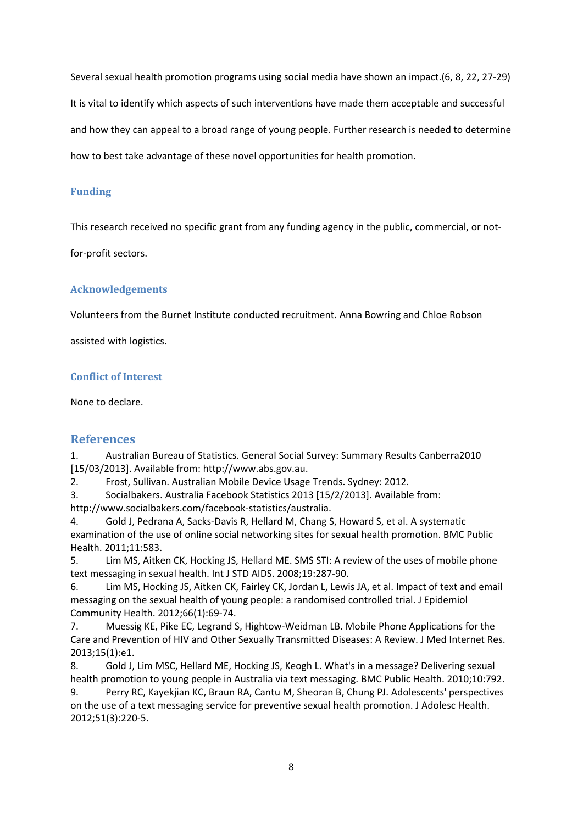Several sexual health promotion programs using social media have shown an impact.(6, 8, 22, 27‐29) It is vital to identify which aspects of such interventions have made them acceptable and successful and how they can appeal to a broad range of young people. Further research is needed to determine how to best take advantage of these novel opportunities for health promotion.

## **Funding**

This research received no specific grant from any funding agency in the public, commercial, or not‐

for‐profit sectors.

## **Acknowledgements**

Volunteers from the Burnet Institute conducted recruitment. Anna Bowring and Chloe Robson

assisted with logistics.

### **Conflict of Interest**

None to declare.

## **References**

1. Australian Bureau of Statistics. General Social Survey: Summary Results Canberra2010 [15/03/2013]. Available from: http://www.abs.gov.au.

2. Frost, Sullivan. Australian Mobile Device Usage Trends. Sydney: 2012.

3. Socialbakers. Australia Facebook Statistics 2013 [15/2/2013]. Available from: http://www.socialbakers.com/facebook‐statistics/australia.

4. Gold J, Pedrana A, Sacks‐Davis R, Hellard M, Chang S, Howard S, et al. A systematic examination of the use of online social networking sites for sexual health promotion. BMC Public Health. 2011;11:583.

5. Lim MS, Aitken CK, Hocking JS, Hellard ME. SMS STI: A review of the uses of mobile phone text messaging in sexual health. Int J STD AIDS. 2008;19:287‐90.

6. Lim MS, Hocking JS, Aitken CK, Fairley CK, Jordan L, Lewis JA, et al. Impact of text and email messaging on the sexual health of young people: a randomised controlled trial. J Epidemiol Community Health. 2012;66(1):69‐74.

7. Muessig KE, Pike EC, Legrand S, Hightow‐Weidman LB. Mobile Phone Applications for the Care and Prevention of HIV and Other Sexually Transmitted Diseases: A Review. J Med Internet Res. 2013;15(1):e1.

8. Gold J, Lim MSC, Hellard ME, Hocking JS, Keogh L. What's in a message? Delivering sexual health promotion to young people in Australia via text messaging. BMC Public Health. 2010;10:792.

9. Perry RC, Kayekjian KC, Braun RA, Cantu M, Sheoran B, Chung PJ. Adolescents' perspectives on the use of a text messaging service for preventive sexual health promotion. J Adolesc Health. 2012;51(3):220‐5.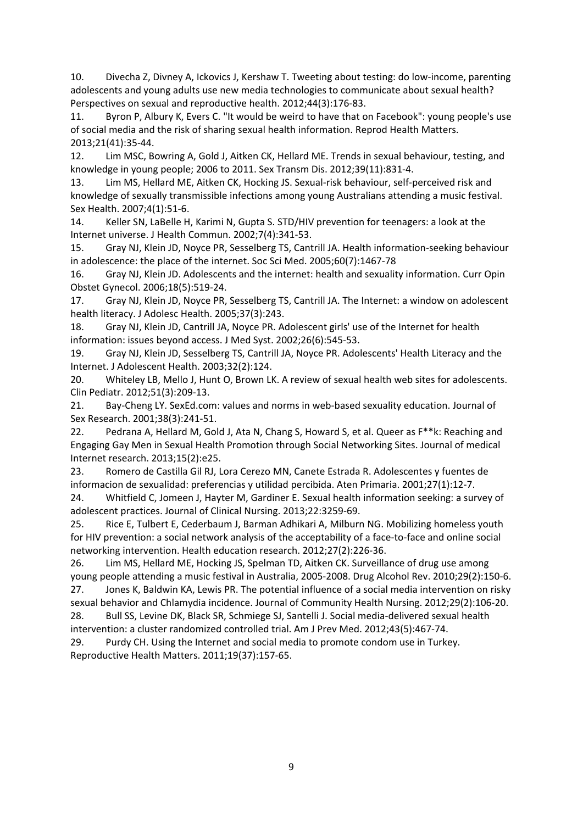10. Divecha Z, Divney A, Ickovics J, Kershaw T. Tweeting about testing: do low‐income, parenting adolescents and young adults use new media technologies to communicate about sexual health? Perspectives on sexual and reproductive health. 2012;44(3):176‐83.

11. Byron P, Albury K, Evers C. "It would be weird to have that on Facebook": young people's use of social media and the risk of sharing sexual health information. Reprod Health Matters. 2013;21(41):35‐44.

12. Lim MSC, Bowring A, Gold J, Aitken CK, Hellard ME. Trends in sexual behaviour, testing, and knowledge in young people; 2006 to 2011. Sex Transm Dis. 2012;39(11):831‐4.

13. Lim MS, Hellard ME, Aitken CK, Hocking JS. Sexual‐risk behaviour, self‐perceived risk and knowledge of sexually transmissible infections among young Australians attending a music festival. Sex Health. 2007;4(1):51‐6.

14. Keller SN, LaBelle H, Karimi N, Gupta S. STD/HIV prevention for teenagers: a look at the Internet universe. J Health Commun. 2002;7(4):341‐53.

15. Gray NJ, Klein JD, Noyce PR, Sesselberg TS, Cantrill JA. Health information‐seeking behaviour in adolescence: the place of the internet. Soc Sci Med. 2005;60(7):1467‐78

16. Gray NJ, Klein JD. Adolescents and the internet: health and sexuality information. Curr Opin Obstet Gynecol. 2006;18(5):519‐24.

17. Gray NJ, Klein JD, Noyce PR, Sesselberg TS, Cantrill JA. The Internet: a window on adolescent health literacy. J Adolesc Health. 2005;37(3):243.

18. Gray NJ, Klein JD, Cantrill JA, Noyce PR. Adolescent girls' use of the Internet for health information: issues beyond access. J Med Syst. 2002;26(6):545‐53.

19. Gray NJ, Klein JD, Sesselberg TS, Cantrill JA, Noyce PR. Adolescents' Health Literacy and the Internet. J Adolescent Health. 2003;32(2):124.

20. Whiteley LB, Mello J, Hunt O, Brown LK. A review of sexual health web sites for adolescents. Clin Pediatr. 2012;51(3):209‐13.

21. Bay‐Cheng LY. SexEd.com: values and norms in web‐based sexuality education. Journal of Sex Research. 2001;38(3):241‐51.

22. Pedrana A, Hellard M, Gold J, Ata N, Chang S, Howard S, et al. Queer as F\*\*k: Reaching and Engaging Gay Men in Sexual Health Promotion through Social Networking Sites. Journal of medical Internet research. 2013;15(2):e25.

23. Romero de Castilla Gil RJ, Lora Cerezo MN, Canete Estrada R. Adolescentes y fuentes de informacion de sexualidad: preferencias y utilidad percibida. Aten Primaria. 2001;27(1):12‐7.

24. Whitfield C, Jomeen J, Hayter M, Gardiner E. Sexual health information seeking: a survey of adolescent practices. Journal of Clinical Nursing. 2013;22:3259‐69.

25. Rice E, Tulbert E, Cederbaum J, Barman Adhikari A, Milburn NG. Mobilizing homeless youth for HIV prevention: a social network analysis of the acceptability of a face-to-face and online social networking intervention. Health education research. 2012;27(2):226‐36.

26. Lim MS, Hellard ME, Hocking JS, Spelman TD, Aitken CK. Surveillance of drug use among young people attending a music festival in Australia, 2005‐2008. Drug Alcohol Rev. 2010;29(2):150‐6. 27. Jones K, Baldwin KA, Lewis PR. The potential influence of a social media intervention on risky sexual behavior and Chlamydia incidence. Journal of Community Health Nursing. 2012;29(2):106‐20. 28. Bull SS, Levine DK, Black SR, Schmiege SJ, Santelli J. Social media-delivered sexual health

intervention: a cluster randomized controlled trial. Am J Prev Med. 2012;43(5):467-74.

29. Purdy CH. Using the Internet and social media to promote condom use in Turkey. Reproductive Health Matters. 2011;19(37):157‐65.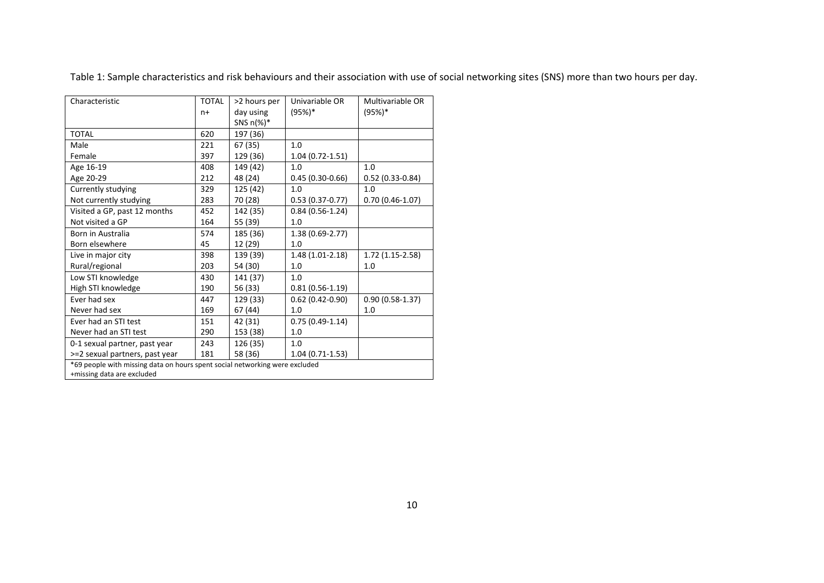Table 1: Sample characteristics and risk behaviours and their association with use of social networking sites (SNS) more than two hours per day.

| Characteristic                                                              | <b>TOTAL</b> | >2 hours per  | Univariable OR      | Multivariable OR  |  |  |
|-----------------------------------------------------------------------------|--------------|---------------|---------------------|-------------------|--|--|
|                                                                             | $n+$         | day using     | $(95%)*$            | (95%)*            |  |  |
|                                                                             |              | SNS $n(\%)^*$ |                     |                   |  |  |
| <b>TOTAL</b>                                                                | 620          | 197 (36)      |                     |                   |  |  |
| Male                                                                        | 221          | 67 (35)       | 1.0                 |                   |  |  |
| Female                                                                      | 397          | 129 (36)      | $1.04(0.72 - 1.51)$ |                   |  |  |
| Age 16-19                                                                   | 408          | 149 (42)      | 1.0                 | 1.0               |  |  |
| Age 20-29                                                                   | 212          | 48 (24)       | $0.45(0.30-0.66)$   | $0.52(0.33-0.84)$ |  |  |
| Currently studying                                                          | 329          | 125 (42)      | 1.0                 | 1.0               |  |  |
| Not currently studying                                                      | 283          | 70 (28)       | $0.53(0.37-0.77)$   | $0.70(0.46-1.07)$ |  |  |
| Visited a GP, past 12 months                                                | 452          | 142 (35)      | $0.84(0.56-1.24)$   |                   |  |  |
| Not visited a GP                                                            | 164          | 55 (39)       | 1.0                 |                   |  |  |
| Born in Australia                                                           | 574          | 185 (36)      | 1.38 (0.69-2.77)    |                   |  |  |
| Born elsewhere                                                              | 45           | 12 (29)       | 1.0                 |                   |  |  |
| Live in major city                                                          | 398          | 139 (39)      | 1.48 (1.01-2.18)    | $1.72(1.15-2.58)$ |  |  |
| Rural/regional                                                              | 203          | 54 (30)       | 1.0                 | 1.0               |  |  |
| Low STI knowledge                                                           | 430          | 141 (37)      | 1.0                 |                   |  |  |
| High STI knowledge                                                          | 190          | 56 (33)       | $0.81(0.56-1.19)$   |                   |  |  |
| Ever had sex                                                                | 447          | 129 (33)      | $0.62$ (0.42-0.90)  | $0.90(0.58-1.37)$ |  |  |
| Never had sex                                                               | 169          | 67 (44)       | 1.0                 | 1.0               |  |  |
| Ever had an STI test                                                        | 151          | 42 (31)       | $0.75(0.49-1.14)$   |                   |  |  |
| Never had an STI test                                                       | 290          | 153 (38)      | 1.0                 |                   |  |  |
| 0-1 sexual partner, past year                                               | 243          | 126 (35)      | 1.0                 |                   |  |  |
| >=2 sexual partners, past year                                              | 181          | 58 (36)       | $1.04(0.71-1.53)$   |                   |  |  |
| *69 people with missing data on hours spent social networking were excluded |              |               |                     |                   |  |  |
| +missing data are excluded                                                  |              |               |                     |                   |  |  |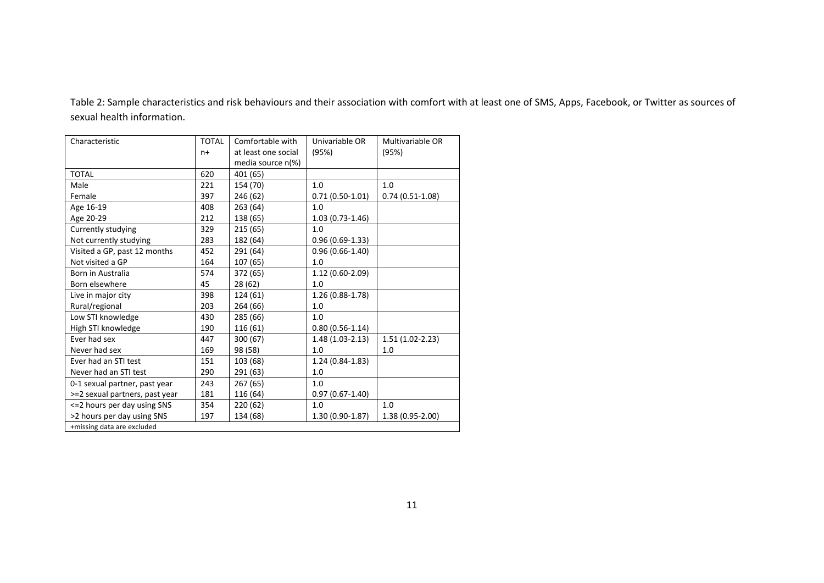Table 2: Sample characteristics and risk behaviours and their association with comfort with at least one of SMS, Apps, Facebook, or Twitter as sources of sexual health information.

| Characteristic                 | <b>TOTAL</b> | Comfortable with    | Univariable OR      | Multivariable OR  |  |  |
|--------------------------------|--------------|---------------------|---------------------|-------------------|--|--|
|                                | $n+$         | at least one social | (95%)               | (95%)             |  |  |
|                                |              | media source n(%)   |                     |                   |  |  |
| <b>TOTAL</b>                   | 620          | 401 (65)            |                     |                   |  |  |
| Male                           | 221          | 154 (70)            | 1.0                 | 1.0               |  |  |
| Female                         | 397          | 246 (62)            | $0.71(0.50-1.01)$   | $0.74(0.51-1.08)$ |  |  |
| Age 16-19                      | 408          | 263 (64)            | 1.0                 |                   |  |  |
| Age 20-29                      | 212          | 138 (65)            | $1.03(0.73-1.46)$   |                   |  |  |
| Currently studying             | 329          | 215(65)             | 1.0                 |                   |  |  |
| Not currently studying         | 283          | 182 (64)            | $0.96(0.69-1.33)$   |                   |  |  |
| Visited a GP, past 12 months   | 452          | 291 (64)            | $0.96(0.66-1.40)$   |                   |  |  |
| Not visited a GP               | 164          | 107 (65)            | 1.0                 |                   |  |  |
| Born in Australia              | 574          | 372 (65)            | $1.12(0.60-2.09)$   |                   |  |  |
| Born elsewhere                 | 45           | 28 (62)             | 1.0                 |                   |  |  |
| Live in major city             | 398          | 124 (61)            | 1.26 (0.88-1.78)    |                   |  |  |
| Rural/regional                 | 203          | 264 (66)            | 1.0                 |                   |  |  |
| Low STI knowledge              | 430          | 285 (66)            | 1.0                 |                   |  |  |
| High STI knowledge             | 190          | 116 (61)            | $0.80(0.56-1.14)$   |                   |  |  |
| Fver had sex                   | 447          | 300 (67)            | $1.48(1.03-2.13)$   | $1.51(1.02-2.23)$ |  |  |
| Never had sex                  | 169          | 98 (58)             | 1.0                 | 1.0               |  |  |
| Ever had an STI test           | 151          | 103 (68)            | $1.24(0.84-1.83)$   |                   |  |  |
| Never had an STI test          | 290          | 291 (63)            | 1.0                 |                   |  |  |
| 0-1 sexual partner, past year  | 243          | 267 (65)            | 1.0                 |                   |  |  |
| >=2 sexual partners, past year | 181          | 116 (64)            | $0.97(0.67 - 1.40)$ |                   |  |  |
| <= 2 hours per day using SNS   | 354          | 220 (62)            | 1.0                 | 1.0               |  |  |
| >2 hours per day using SNS     | 197          | 134 (68)            | $1.30(0.90-1.87)$   | 1.38 (0.95-2.00)  |  |  |
| +missing data are excluded     |              |                     |                     |                   |  |  |